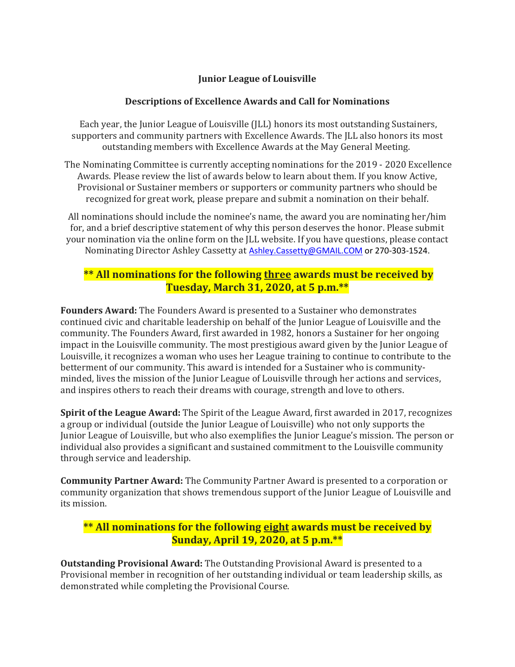## **Junior League of Louisville**

## **Descriptions of Excellence Awards and Call for Nominations**

Each year, the Junior League of Louisville (JLL) honors its most outstanding Sustainers, supporters and community partners with Excellence Awards. The JLL also honors its most outstanding members with Excellence Awards at the May General Meeting.

The Nominating Committee is currently accepting nominations for the 2019 - 2020 Excellence Awards. Please review the list of awards below to learn about them. If you know Active, Provisional or Sustainer members or supporters or community partners who should be recognized for great work, please prepare and submit a nomination on their behalf.

All nominations should include the nominee's name, the award you are nominating her/him for, and a brief descriptive statement of why this person deserves the honor. Please submit your nomination via the online form on the JLL website. If you have questions, please contact Nominating Director Ashley Cassetty at [Ashley.Cassetty@GMAIL.COM](mailto:Ashley.Cassetty@GMAIL.COM) or 270-303-1524.

## **\*\* All nominations for the following three awards must be received by Tuesday, March 31, 2020, at 5 p.m.\*\***

**Founders Award:** The Founders Award is presented to a Sustainer who demonstrates continued civic and charitable leadership on behalf of the Junior League of Louisville and the community. The Founders Award, first awarded in 1982, honors a Sustainer for her ongoing impact in the Louisville community. The most prestigious award given by the Junior League of Louisville, it recognizes a woman who uses her League training to continue to contribute to the betterment of our community. This award is intended for a Sustainer who is communityminded, lives the mission of the Junior League of Louisville through her actions and services, and inspires others to reach their dreams with courage, strength and love to others.

**Spirit of the League Award:** The Spirit of the League Award, first awarded in 2017, recognizes a group or individual (outside the Junior League of Louisville) who not only supports the Junior League of Louisville, but who also exemplifies the Junior League's mission. The person or individual also provides a significant and sustained commitment to the Louisville community through service and leadership.

**Community Partner Award:** The Community Partner Award is presented to a corporation or community organization that shows tremendous support of the Junior League of Louisville and its mission.

## **\*\* All nominations for the following eight awards must be received by Sunday, April 19, 2020, at 5 p.m.\*\***

**Outstanding Provisional Award:** The Outstanding Provisional Award is presented to a Provisional member in recognition of her outstanding individual or team leadership skills, as demonstrated while completing the Provisional Course.